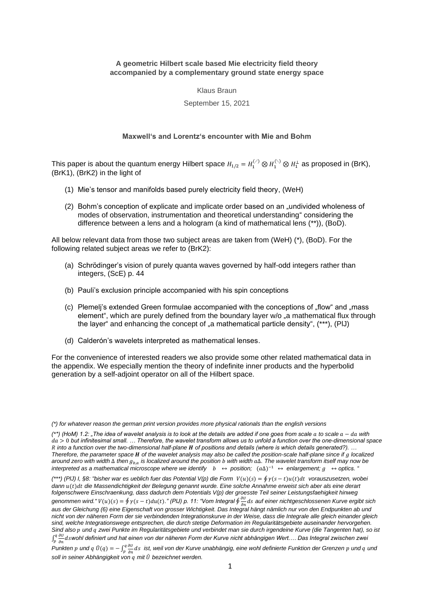## **A geometric Hilbert scale based Mie electricity field theory accompanied by a complementary ground state energy space**

Klaus Braun

September 15, 2021

#### **Maxwell's and Lorentz's encounter with Mie and Bohm**

This paper is about the quantum energy Hilbert space  $H_{1/2} = H_1^{(\cdot)} \otimes H_1^{(\cdot)} \otimes H_1^{\perp}$  as proposed in (BrK), (BrK1), (BrK2) in the light of

- (1) Mie's tensor and manifolds based purely electricity field theory, (WeH)
- (2) Bohm's conception of explicate and implicate order based on an "undivided wholeness of modes of observation, instrumentation and theoretical understanding" considering the difference between a lens and a hologram (a kind of mathematical lens (\*\*)), (BoD).

All below relevant data from those two subject areas are taken from (WeH) (\*), (BoD). For the following related subject areas we refer to (BrK2):

- (a) Schrödinger's vision of purely quanta waves governed by half-odd integers rather than integers, (ScE) p. 44
- (b) Pauli's exclusion principle accompanied with his spin conceptions
- (c) Plemelj's extended Green formulae accompanied with the conceptions of "flow" and "mass element", which are purely defined from the boundary layer w/o <sub>"a</sub> mathematical flux through the layer" and enhancing the concept of "a mathematical particle density", (\*\*\*), (PlJ)
- (d) Calderón's wavelets interpreted as mathematical lenses.

For the convenience of interested readers we also provide some other related mathematical data in the appendix. We especially mention the theory of indefinite inner products and the hyperbolid generation by a self-adjoint operator on all of the Hilbert space.

*(\*\*) (HoM) 1.2: "The idea of wavelet analysis is to look at the details are added if one goes from scale to scale*  − *with*  > 0 *but infinitesimal small. … Therefore, the wavelet transform allows us to unfold a function over the one-dimensional space into a function over the two-dimensional half-plane of positions and details (where is which details generated?). … Therefore, the parameter space H of the wavelet analysis may also be called the position-scale half-plane since if q localized* around zero with width ∆ *then g<sub>b,a</sub> is localized around the position b with width a∆. The wavelet transform itself may now be interpreted as a mathematical microscope where we identify b 
veraborical*  $(A)$ *<sup>-1</sup>*  $\leftrightarrow$  *<i>enlargement; g*  $\leftrightarrow$  optics.  $\land$ 

 $'$ <sup>\*\*\*</sup>) (PlJ) I, §8: "bisher war es ueblich fuer das Potential V(p) die Form V(u)(s) = ∮γ(s - t)u(t)dt vorauszusetzen, wobei *dann* () *die Massendichtigkeit der Belegung genannt wurde. Eine solche Annahme erweist sich aber als eine derart folgenschwere Einschraenkung, dass dadurch dem Potentials V(p) der groesste Teil seiner Leistungsfaehigkeit hinweg genommen wird."*  $V(u)(s) = \oint \gamma(s-t)du(t)$ ." (PIJ) p. 11: "Vom Integral  $\oint \frac{\partial v}{\partial x}$  $\frac{\partial v}{\partial n}$ ds auf einer nichtgeschlossenen Kurve ergibt sich *aus der Gleichung (6) eine Eigenschaft von grosser Wichtigkeit. Das Integral hängt nämlich nur von den Endpunkten ab und nicht von der näheren Form der sie verbindenden Integrationskurve in der Weise, dass die Integrale alle gleich einander gleich sind, welche Integrationswege entsprechen, die durch stetige Deformation im Regularitätsgebiete auseinander hervorgehen.*  Sind also *pund q zwei Punkte im Regularitätsgebiete und verbindet man sie durch irgendeine Kurve (die Tangenten hat), so ist*  $\int_{n}^{q} \frac{\partial U}{\partial n}$ r<sup>q au</sup> dswohl definiert und hat einen von der näheren Form der Kurve nicht abhängigen Wert…. Das Integral zwischen zwei *Punkten p und q*  $\bar{U}(q) = -\int_{n}^{q} \frac{\partial U}{\partial n}$  $\frac{r^q}{p}\frac{\partial U}{\partial n}$ ds  $\,$  ist, weil von der Kurve unabhängig, eine wohl definierte Funktion der Grenzen  $p\,$  und  $q\,$  und *soll in seiner Abhängigkeit von mit* ̄ *bezeichnet werden.*

*<sup>(\*)</sup> for whatever reason the german print version provides more physical rationals than the english versions*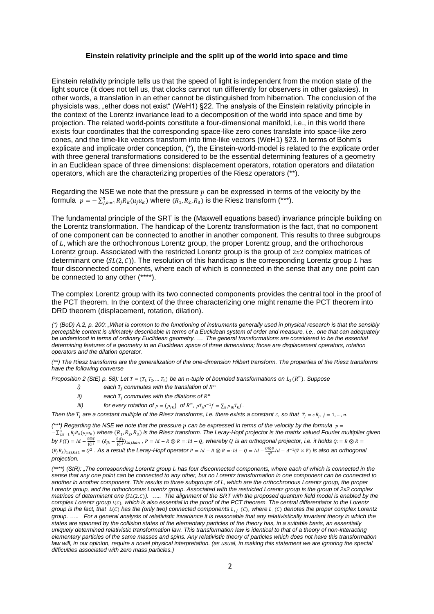#### **Einstein relativity principle and the split up of the world into space and time**

Einstein relativity principle tells us that the speed of light is independent from the motion state of the light source (it does not tell us, that clocks cannot run differently for observers in other galaxies). In other words, a translation in an ether cannot be distinguished from hibernation. The conclusion of the physicists was, "ether does not exist" (WeH1) §22. The analysis of the Einstein relativity principle in the context of the Lorentz invariance lead to a decomposition of the world into space and time by projection. The related world-points constitute a four-dimensional manifold, i.e., in this world there exists four coordinates that the corresponding space-like zero cones translate into space-like zero cones, and the time-like vectors transform into time-like vectors (WeH1) §23. In terms of Bohm's explicate and implicate order conception, (\*), the Einstein-world-model is related to the explicate order with three general transformations considered to be the essential determining features of a geometry in an Euclidean space of three dimensions: displacement operators, rotation operators and dilatation operators, which are the characterizing properties of the Riesz operators (\*\*).

Regarding the NSE we note that the pressure  $p$  can be expressed in terms of the velocity by the formula  $p = -\sum_{j,k=1}^{3} R_j R_k(u_j u_k)$  where  $(R_1, R_2, R_3)$  is the Riesz transform (\*\*\*).

The fundamental principle of the SRT is the (Maxwell equations based) invariance principle building on the Lorentz transformation. The handicap of the Lorentz transformation is the fact, that no component of one component can be connected to another in another component. This results to three subgroups of  $L$ , which are the orthochronous Lorentz group, the proper Lorentz group, and the orthochorous Lorentz group. Associated with the restricted Lorentz group is the group of  $2x2$  complex matrices of determinant one  $(SL(2, C))$ . The resolution of this handicap is the corresponding Lorentz group L has four disconnected components, where each of which is connected in the sense that any one point can be connected to any other (\*\*\*\*).

The complex Lorentz group with its two connected components provides the central tool in the proof of the PCT theorem. In the context of the three characterizing one might rename the PCT theorem into DRD theorem (displacement, rotation, dilation).

*(\*) (BoD) A.2, p. 200: "What is common to the functioning of instruments generally used in physical research is that the sensibly*  perceptible content is ultimately describable in terms of a Euclidean system of order and measure, i.e., one that can adequately be understood in terms of ordinary Euclidean geometry. ... The general transformations are considered to be the essential *determining features of a geometry in an Euclidean space of three dimensions; those are displacement operators, rotation operators and the dilation operator.*

*(\*\*) The Riesz transforms are the generalization of the one-dimension Hilbert transform. The properties of the Riesz transforms have the following converse*

*Proposition 2 (StE) p. 58): Let*  $T = (T_1, T_2, ... T_n)$  *be an n-tuple of bounded transformations on*  $L_2(R^n)$ *. Suppose* 

- *i*) *each*  $T_j$  commutes with the translation of  $R^n$
- *ii)*  $e$  *each*  $T_j$  commutes with the dilations of  $R^n$
- *iii*) *for every rotation of*  $\rho = (\rho_{jk})$  *of*  $R^n$ *,*  $\rho T_j \rho^{-1} f = \sum_k \rho_{jk} T_k f$ *.*

*Then the*  $T_j$  *are a constant multiple of the Riesz transforms, i.e. there exists a constant*  $c$ *, so that*  $T_j = cR_j$ *,*  $j = 1, ..., n$ *.* 

*(\*\*\*)* Regarding the NSE we note that the pressure  $p$  can be expressed in terms of the velocity by the formula  $p =$  $-\sum_{j,k=1}^3 R_j R_k(u_j u_k)$  where  $(R_1,R_2,R_3)$  is the Riesz transform. The Leray-Hopf projector is the matrix valued Fourier multiplier given  $b$ y  $P(\xi) = Id - \frac{\xi \otimes \xi}{|\xi|^2} = (\delta_{jk} - \frac{\xi_j \xi_k}{|\xi|^2})_{1 \le j,k \le n}$ ,  $P = Id - R \otimes R =: Id - Q$ , whereby Q is an orthogonal projector, i.e. it holds  $Q = R \otimes R =$  $(R_jR_k)_{1\le j,k\le 1}=Q^2$ . As a result the Leray-Hopf operator  $P=Id-R\otimes R=:Id-Q=Id-\frac{D\otimes D}{D^2}Id-\varDelta^{-1}(\nabla\times\nabla)$  is also an orthogonal *projection.* 

*(\*\*\*\*) (StR): "The corresponding Lorentz group L has four disconnected components, where each of which is connected in the sense that any one point can be connected to any other, but no Lorentz transformation in one component can be connected to*  another in another component. This results to three subgroups of L, which are the orthochronous Lorentz group, the proper *Lorentz group, and the orthochorous Lorentz group. Associated with the restricted Lorentz group is the group of 2x2 complex*  matrices of determinant one ( $SL(2, C)$ ). ….. The alignment of the SRT with the proposed quantum field model is enabled by the *complex Lorentz group* ()*, which is also essential in the proof of the PCT theorem. The central differentiator to the Lorentz group is the fact, that*  $L(C)$  *has the (only two) connected components*  $L_{+/-}(C)$ *, where*  $L_{+}(C)$  *denotes the proper complex Lorentz group. ….. For a general analysis of relativistic invariance it is reasonable that any relativistically invariant theory in which the states are spanned by the collision states of the elementary particles of the theory has, in a suitable basis, an essentially uniquely determined relativistic transformation law. This transformation law is identical to that of a theory of non-interacting elementary particles of the same masses and spins. Any relativistic theory of particles which does not have this transformation*  law will, in our opinion, require a novel physical interpretation. (as usual, in making this statement we are ignoring the special *difficulties associated with zero mass particles.)*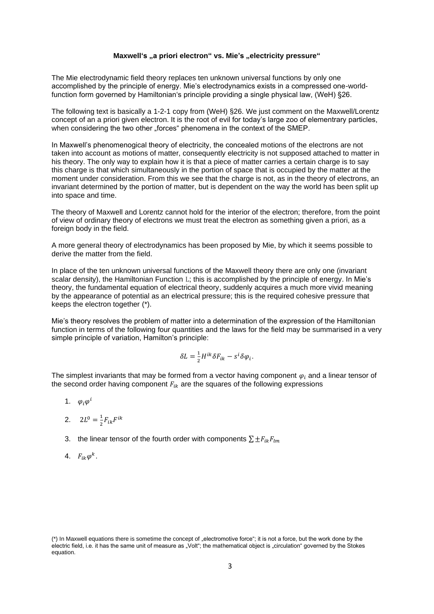#### **Maxwell's** "a priori electron" vs. Mie's "electricity pressure"

The Mie electrodynamic field theory replaces ten unknown universal functions by only one accomplished by the principle of energy. Mie's electrodynamics exists in a compressed one-worldfunction form governed by Hamiltonian's principle providing a single physical law, (WeH) §26.

The following text is basically a 1-2-1 copy from (WeH) §26. We just comment on the Maxwell/Lorentz concept of an a priori given electron. It is the root of evil for today's large zoo of elementrary particles, when considering the two other "forces" phenomena in the context of the SMEP.

In Maxwell's phenomenogical theory of electricity, the concealed motions of the electrons are not taken into account as motions of matter, consequently electricity is not supposed attached to matter in his theory. The only way to explain how it is that a piece of matter carries a certain charge is to say this charge is that which simultaneously in the portion of space that is occupied by the matter at the moment under consideration. From this we see that the charge is not, as in the theory of electrons, an invariant determined by the portion of matter, but is dependent on the way the world has been split up into space and time.

The theory of Maxwell and Lorentz cannot hold for the interior of the electron; therefore, from the point of view of ordinary theory of electrons we must treat the electron as something given a priori, as a foreign body in the field.

A more general theory of electrodynamics has been proposed by Mie, by which it seems possible to derive the matter from the field.

In place of the ten unknown universal functions of the Maxwell theory there are only one (invariant scalar density), the Hamiltonian Function L; this is accomplished by the principle of energy. In Mie's theory, the fundamental equation of electrical theory, suddenly acquires a much more vivid meaning by the appearance of potential as an electrical pressure; this is the required cohesive pressure that keeps the electron together (\*).

Mie's theory resolves the problem of matter into a determination of the expression of the Hamiltonian function in terms of the following four quantities and the laws for the field may be summarised in a very simple principle of variation, Hamilton's principle:

$$
\delta L = \frac{1}{2} H^{ik} \delta F_{ik} - s^i \delta \varphi_i.
$$

The simplest invariants that may be formed from a vector having component  $\varphi_i$  and a linear tensor of the second order having component  $F_{ik}$  are the squares of the following expressions

- 1.  $\varphi_i \varphi^i$
- 2.  $2L^0 = \frac{1}{2}$  $rac{1}{2}F_{ik}F^{ik}$
- 3. the linear tensor of the fourth order with components  $\sum \pm F_{ik}F_{lm}$
- 4.  $F_{ik}\varphi^k$ .

<sup>(\*)</sup> In Maxwell equations there is sometime the concept of "electromotive force"; it is not a force, but the work done by the electric field, i.e. it has the same unit of measure as "Volt"; the mathematical object is "circulation" governed by the Stokes equation.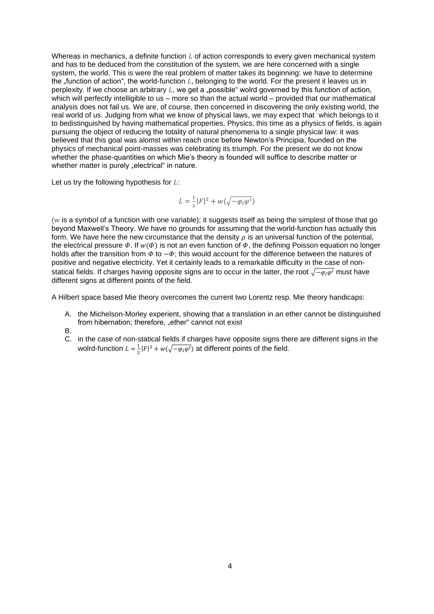Whereas in mechanics, a definite function  $L$  of action corresponds to every given mechanical system and has to be deduced from the constitution of the system, we are here concerned with a single system, the world. This is were the real problem of matter takes its beginning: we have to determine the "function of action", the world-function  $L$ , belonging to the world. For the present it leaves us in perplexity. If we choose an arbitrary  $L$ , we get a "possible" wolrd governed by this function of action, which will perfectly intelligible to us - more so than the actual world - provided that our mathematical analysis does not fail us. We are, of course, then concerned in discovering the only existing world, the real world of us. Judging from what we know of physical laws, we may expect that which belongs to it to bedistinguished by having mathematical properties. Physics, this time as a physics of fields, is again pursuing the object of reducing the totality of natural phenomena to a single physical law: it was believed that this goal was alomst within reach once before Newton's Principia, founded on the physics of mechanical point-masses was celebrating its triumph. For the present we do not know whether the phase-quantities on which Mie's theory is founded will suffice to describe matter or whether matter is purely "electrical" in nature.

Let us try the following hypothesis for  $L$ :

$$
L = \frac{1}{2} |F|^2 + w(\sqrt{-\varphi_i \varphi^i})
$$

(w is a symbol of a function with one variable); it suggests itself as being the simplest of those that go beyond Maxwell's Theory. We have no grounds for assuming that the world-function has actually this form. We have here the new circumstance that the density  $\rho$  is an universal function of the potential, the electrical pressure  $\Phi$ . If  $w(\Phi)$  is not an even function of  $\Phi$ , the defining Poisson equation no longer holds after the transition from  $\Phi$  to  $-\Phi$ ; this would account for the difference between the natures of positive and negative electricity. Yet it certainly leads to a remarkable difficulty in the case of nonstatical fields. If charges having opposite signs are to occur in the latter, the root  $\sqrt{-\omega_i\omega_i}$  must have different signs at different points of the field.

A Hilbert space based Mie theory overcomes the current two Lorentz resp. Mie theory handicaps:

- A. the Michelson-Morley experient, showing that a translation in an ether cannot be distinguished from hibernation; therefore, "ether" cannot not exist
- B.
- C. in the case of non-statical fields if charges have opposite signs there are different signs in the wolrd-function  $L = \frac{1}{2}$  $\frac{1}{2}|F|^2 + w(\sqrt{-\varphi_i\varphi^i})$  at different points of the field.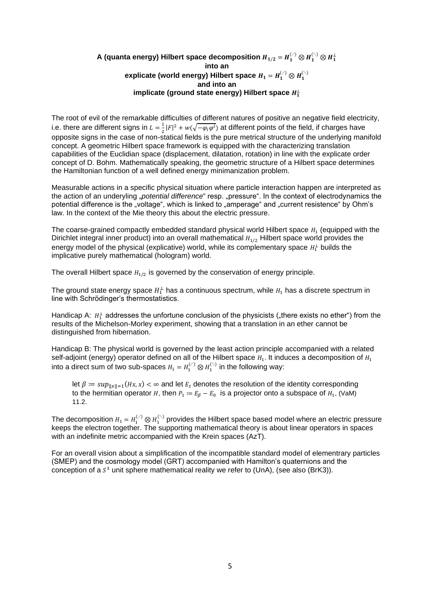# **A** (quanta energy) Hilbert space decomposition  $H_{1/2} = H_1^{(\cdot)} \otimes H_1^{(\cdot)} \otimes H_1^{\perp}$ **into an** explicate (world energy) Hilbert space  $H_1 = H_1^{(\cdot)} \otimes H_1^{(\cdot)}$ **and into an implicate (ground state energy) Hilbert space** ⊥

The root of evil of the remarkable difficulties of different natures of positive an negative field electricity, i.e. there are different signs in  $L=\frac{1}{3}$  $\frac{1}{2} |F|^2 + w(\sqrt{-\varphi_i\varphi^i})$  at different points of the field, if charges have opposite signs in the case of non-statical fields is the pure metrical structure of the underlying manifold concept. A geometric Hilbert space framework is equipped with the characterizing translation capabilities of the Euclidian space (displacement, dilatation, rotation) in line with the explicate order concept of D. Bohm. Mathematically speaking, the geometric structure of a Hilbert space determines the Hamiltonian function of a well defined energy minimanization problem.

Measurable actions in a specific physical situation where particle interaction happen are interpreted as the action of an underyling "*potential difference*" resp. "pressure". In the context of electrodynamics the potential difference is the "voltage", which is linked to "amperage" and "current resistence" by Ohm's law. In the context of the Mie theory this about the electric pressure.

The coarse-grained compactly embedded standard physical world Hilbert space  $H_1$  (equipped with the Dirichlet integral inner product) into an overall mathematical  $H_{1/2}$  Hilbert space world provides the energy model of the physical (explicative) world, while its complementary space  $H_1^{\perp}$  builds the implicative purely mathematical (hologram) world.

The overall Hilbert space  $H_{1/2}$  is governed by the conservation of energy principle.

The ground state energy space  $H_1^{\perp}$  has a continuous spectrum, while  $H_1$  has a discrete spectrum in line with Schrödinger's thermostatistics.

Handicap A:  $H_1^{\perp}$  addresses the unfortune conclusion of the physicists ("there exists no ether") from the results of the Michelson-Morley experiment, showing that a translation in an ether cannot be distinguished from hibernation.

Handicap B: The physical world is governed by the least action principle accompanied with a related self-adjoint (energy) operator defined on all of the Hilbert space  $H_1$ . It induces a decomposition of  $H_1$ into a direct sum of two sub-spaces  $H_1 = H_1^{(\cdot)} \otimes H_1^{(\cdot)}$  in the following way:

let  $\beta \coloneqq sup_{\|x\|=1}(Hx,x) < \infty$  and let  $E_t$  denotes the resolution of the identity corresponding to the hermitian operator H, then  $P_1 = E_\beta - E_0$  is a projector onto a subspace of  $H_1$ , (VaM) 11.2.

The decomposition  $H_1 = H_1^{(\cdot)} \otimes H_1^{(\cdot)}$  provides the Hilbert space based model where an electric pressure keeps the electron together. The supporting mathematical theory is about linear operators in spaces with an indefinite metric accompanied with the Krein spaces (AzT).

For an overall vision about a simplification of the incompatible standard model of elementrary particles (SMEP) and the cosmology model (GRT) accompanied with Hamilton's quaternions and the conception of a  $S<sup>3</sup>$  unit sphere mathematical reality we refer to (UnA), (see also (BrK3)).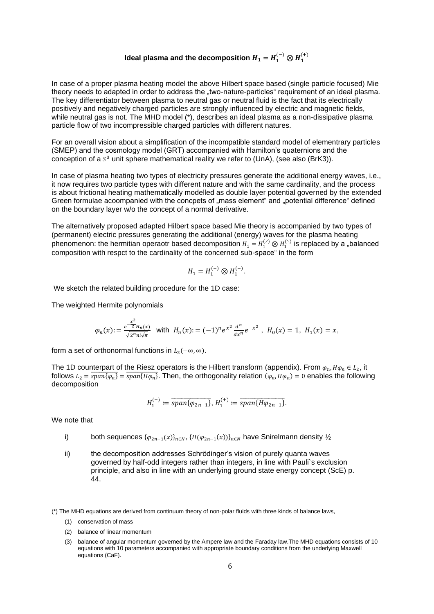# ldeal plasma and the decomposition  $H_1 = H_1^{(-)} \otimes H_1^{(+)}$

In case of a proper plasma heating model the above Hilbert space based (single particle focused) Mie theory needs to adapted in order to address the "two-nature-particles" requirement of an ideal plasma. The key differentiator between plasma to neutral gas or neutral fluid is the fact that its electrically positively and negatively charged particles are strongly influenced by electric and magnetic fields, while neutral gas is not. The MHD model (\*), describes an ideal plasma as a non-dissipative plasma particle flow of two incompressible charged particles with different natures.

For an overall vision about a simplification of the incompatible standard model of elementrary particles (SMEP) and the cosmology model (GRT) accompanied with Hamilton's quaternions and the conception of a  $S<sup>3</sup>$  unit sphere mathematical reality we refer to (UnA), (see also (BrK3)).

In case of plasma heating two types of electricity pressures generate the additional energy waves, i.e., it now requires two particle types with different nature and with the same cardinality, and the process is about frictional heating mathematically modelled as double layer potential governed by the extended Green formulae acoompanied with the concpets of "mass element" and "potential difference" defined on the boundary layer w/o the concept of a normal derivative.

The alternatively proposed adapted Hilbert space based Mie theory is accompanied by two types of (permanent) electric pressures generating the additional (energy) waves for the plasma heating phenomenon: the hermitian operaotr based decomposition  $H_1 = H_1^{(\cdot)} \otimes H_1^{(\cdot)}$  is replaced by a "balanced composition with respct to the cardinality of the concerned sub-space" in the form

$$
H_1 = H_1^{(-)} \otimes H_1^{(+)}.
$$

We sketch the related building procedure for the 1D case:

The weighted Hermite polynomials

$$
\varphi_n(x) := \frac{e^{-\frac{x^2}{2}H_n(x)}}{\sqrt{2^n n! \sqrt{\pi}}} \quad \text{with} \quad H_n(x) := (-1)^n e^{x^2} \frac{d^n}{dx^n} e^{-x^2}, \quad H_0(x) = 1, \quad H_1(x) = x,
$$

form a set of orthonormal functions in  $L_2(-\infty,\infty)$ .

The 1D counterpart of the Riesz operators is the Hilbert transform (appendix). From  $\varphi_n$ ,  $H\varphi_n \in L_2$ , it follows  $L_2 = \overline{span{\varphi_n}} = \overline{span{H\varphi_n}}$ . Then, the orthogonality relation  $(\varphi_n, H\varphi_n) = 0$  enables the following decomposition

$$
H_1^{(-)} := \overline{span{\varphi_{2n-1}}}, H_1^{(+)} := \overline{span{H\varphi_{2n-1}}}.
$$

We note that

- i) both sequences  $\{\varphi_{2n-1}(x)\}_{n\in N}$ ,  $\{H(\varphi_{2n-1}(x))\}_{n\in N}$  have Snirelmann density 1⁄2
- ii) the decomposition addresses Schrödinger's vision of purely quanta waves governed by half-odd integers rather than integers, in line with Pauli`s exclusion principle, and also in line with an underlying ground state energy concept (ScE) p. 44.

(\*) The MHD equations are derived from continuum theory of non-polar fluids with three kinds of balance laws,

- (1) conservation of mass
- (2) balance of linear momentum
- (3) balance of angular momentum governed by the Ampere law and the Faraday law.The MHD equations consists of 10 equations with 10 parameters accompanied with appropriate boundary conditions from the underlying Maxwell equations (CaF).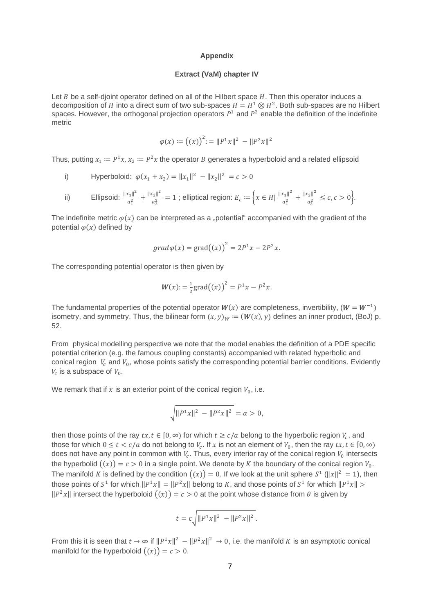#### **Appendix**

## **Extract (VaM) chapter IV**

Let  $B$  be a self-djoint operator defined on all of the Hilbert space  $H$ . Then this operator induces a decomposition of H into a direct sum of two sub-spaces  $H = H^1 \otimes H^2$ . Both sub-spaces are no Hilbert spaces. However, the orthogonal projection operators  $P^1$  and  $P^2$  enable the definition of the indefinite metric

$$
\varphi(x) := ((x))^{2} := ||P^{1}x||^{2} - ||P^{2}x||^{2}
$$

Thus, putting  $x_1 := P^1 x$ ,  $x_2 := P^2 x$  the operator B generates a hyperboloid and a related ellipsoid

i) Hyperboloid: 
$$
\varphi(x_1 + x_2) = ||x_1||^2 - ||x_2||^2 = c > 0
$$

ii) Ellipsoid: 
$$
\frac{\|x_1\|^2}{a_1^2} + \frac{\|x_2\|^2}{a_2^2} = 1
$$
; elliptical region:  $E_c := \left\{ x \in H \mid \frac{\|x_1\|^2}{a_1^2} + \frac{\|x_2\|^2}{a_2^2} \le c, c > 0 \right\}.$ 

The indefinite metric  $\varphi(x)$  can be interpreted as a "potential" accompanied with the gradient of the potential  $\varphi(x)$  defined by

$$
grad\varphi(x) = grad((x))^{2} = 2P^{1}x - 2P^{2}x.
$$

The corresponding potential operator is then given by

$$
W(x) := \frac{1}{2} \text{grad}((x))^2 = P^1 x - P^2 x.
$$

The fundamental properties of the potential operator  $W(x)$  are completeness, invertibility,  $(W = W^{-1})$ isometry, and symmetry. Thus, the bilinear form  $(x, y)_{w} := (W(x), y)$  defines an inner product, (BoJ) p. 52.

From physical modelling perspective we note that the model enables the definition of a PDE specific potential criterion (e.g. the famous coupling constants) accompanied with related hyperbolic and conical region  $V_c$  and  $V_0$ , whose points satisfy the corresponding potential barrier conditions. Evidently  $V_c$  is a subspace of  $V_0$ .

We remark that if  $x$  is an exterior point of the conical region  $V_0$ , i.e.

$$
\sqrt{\|P^1x\|^2 - \|P^2x\|^2} = \alpha > 0,
$$

then those points of the ray  $tx$ ,  $t \in [0, \infty)$  for which  $t \geq c/a$  belong to the hyperbolic region  $V_c$ , and those for which  $0 \le t < c/a$  do not belong to  $V_c$ . If  $x$  is not an element of  $V_0$ , then the ray  $tx, t \in [0, \infty)$ does not have any point in common with  $V_c$ . Thus, every interior ray of the conical region  $V_0$  intersects the hyperbolid  $((x)) = c > 0$  in a single point. We denote by K the boundary of the conical region  $V_0$ . The manifold K is defined by the condition  $((x)) = 0$ . If we look at the unit sphere  $S^1$  ( $||x||^2 = 1$ ), then those points of S<sup>1</sup> for which  $||P^1x|| = ||P^2x||$  belong to K, and those points of S<sup>1</sup> for which  $||P^1x|| >$  $||P^2x||$  intersect the hyperboloid  $((x)) = c > 0$  at the point whose distance from  $\theta$  is given by

$$
t = c \sqrt{\|P^1x\|^2 - \|P^2x\|^2}.
$$

From this it is seen that  $t \to \infty$  if  $||P^1x||^2 - ||P^2x||^2 \to 0$ , i.e. the manifold K is an asymptotic conical manifold for the hyperboloid  $((x)) = c > 0$ .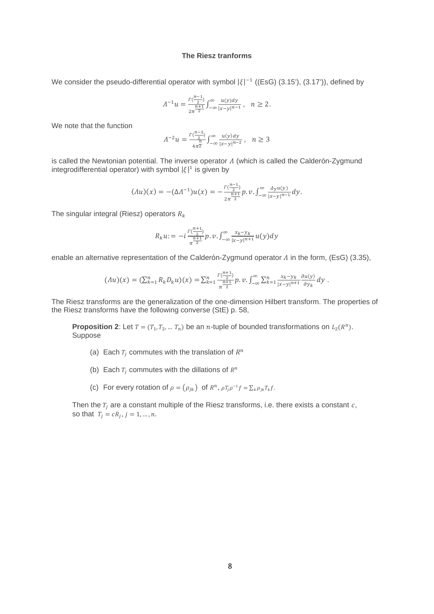## **The Riesz tranforms**

We consider the pseudo-differential operator with symbol  $|\xi|^{-1}$  ((EsG) (3.15'), (3.17')), defined by

$$
\Lambda^{-1}u = \frac{r(\frac{n-1}{2})}{\frac{n+1}{2\pi^2}} \int_{-\infty}^{\infty} \frac{u(y)dy}{|x-y|^{n-1}}, \quad n \ge 2.
$$

We note that the function

$$
A^{-2}u = \frac{r(\frac{n-2}{2})}{\frac{n}{4\pi^2}} \int_{-\infty}^{\infty} \frac{u(y)dy}{|x-y|^{n-2}}, \quad n \ge 3
$$

is called the Newtonian potential. The inverse operator  $\Lambda$  (which is called the Calderón-Zygmund integrodifferential operator) with symbol  $|\xi|^1$  is given by

$$
(\Lambda u)(x) = -(\Delta \Lambda^{-1})u(x) = -\frac{\Gamma(\frac{n-1}{2})}{2\pi^{\frac{n+1}{2}}}p.\,v.\int_{-\infty}^{\infty}\frac{\Delta yu(y)}{|x-y|^{n-1}}\,dy.
$$

The singular integral (Riesz) operators  $R_k$ 

$$
R_k u := -i \frac{\int_{-\infty}^{\infty} \frac{x_k}{\sqrt{2}} p \cdot v \cdot \int_{-\infty}^{\infty} \frac{x_k - y_k}{|x - y|^{n+1}} u(y) dy
$$

enable an alternative representation of the Calderón-Zygmund operator  $\Lambda$  in the form, (EsG) (3.35),

$$
(Au)(x) = (\sum_{k=1}^n R_k D_k u)(x) = \sum_{k=1}^n \frac{\Gamma(\frac{n+1}{2})}{\frac{n+1}{n-2}} p.v. \int_{-\infty}^{\infty} \sum_{k=1}^n \frac{x_k - y_k}{|x - y|^{n+1}} \frac{\partial u(y)}{\partial y_k} dy.
$$

The Riesz transforms are the generalization of the one-dimension Hilbert transform. The properties of the Riesz transforms have the following converse (StE) p. 58,

**Proposition 2**: Let  $T = (T_1, T_2, ... T_n)$  be an *n*-tuple of bounded transformations on  $L_2(R^n)$ . Suppose

- (a) Each  $T_j$  commutes with the translation of  $R^n$
- (b) Each  $T_j$  commutes with the dillations of  $R^n$
- (c) For every rotation of  $\rho = (\rho_{jk})$  of  $R^n$ ,  $\rho T_j \rho^{-1} f = \sum_k \rho_{jk} T_k f$ .

Then the  $T_i$  are a constant multiple of the Riesz transforms, i.e. there exists a constant  $c$ , so that  $T_j = cR_j, j = 1, ..., n$ .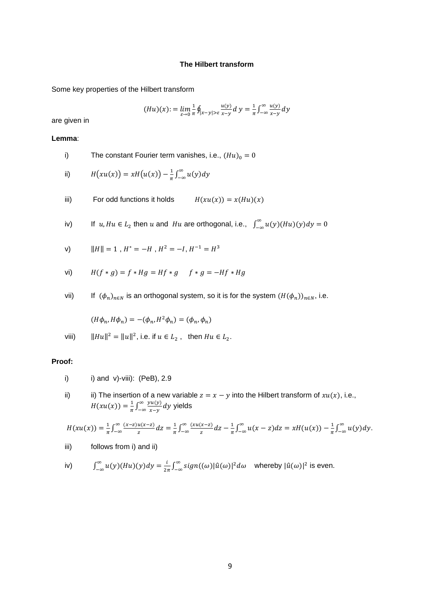## **The Hilbert transform**

Some key properties of the Hilbert transform

$$
(Hu)(x) := \lim_{\varepsilon \to 0} \frac{1}{\pi} \oint_{|x-y| > \varepsilon} \frac{u(y)}{x-y} dy = \frac{1}{\pi} \int_{-\infty}^{\infty} \frac{u(y)}{x-y} dy
$$

are given in

**Lemma**:

i) The constant Fourier term vanishes, i.e., 
$$
(Hu)_0 = 0
$$

ii) 
$$
H(xu(x)) = xH(u(x)) - \frac{1}{\pi} \int_{-\infty}^{\infty} u(y) dy
$$

- iii) For odd functions it holds  $H(xu(x)) = x(Hu)(x)$
- iv) If  $u, Hu \in L_2$  then  $u$  and *Hu* are orthogonal, i.e.,  $\int_{-\infty}^{\infty} u(y)(Hu)(y)dy = 0$

v) 
$$
||H|| = 1
$$
,  $H^* = -H$ ,  $H^2 = -I$ ,  $H^{-1} = H^3$ 

$$
\text{vi)} \qquad H(f * g) = f * Hg = Hf * g \qquad f * g = -Hf * Hg
$$

vii)  $\qquad$  If  $(\phi_n)_{n\in N}$  is an orthogonal system, so it is for the system  $(H(\phi_n))_{n\in N},$  i.e.

$$
(H\phi_n, H\phi_n) = -(\phi_n, H^2\phi_n) = (\phi_n, \phi_n)
$$

viii) 
$$
||Hu||^2 = ||u||^2
$$
, i.e. if  $u \in L_2$ , then  $Hu \in L_2$ .

## **Proof:**

- i) i) and v)-viii): (PeB), 2.9
- ii) ii) The insertion of a new variable  $z = x y$  into the Hilbert transform of  $xu(x)$ , i.e.,  $H(xu(x)) = \frac{1}{x}$  $\frac{1}{\pi} \int_{-\infty}^{\infty} \frac{y u(y)}{x-y}$  $\int_{-\infty}^{\infty}\frac{yu(y)}{x-y}dy$  yields

$$
H(xu(x))=\frac{1}{\pi}\int_{-\infty}^{\infty}\frac{(x-z)u(x-z)}{z}dz=\frac{1}{\pi}\int_{-\infty}^{\infty}\frac{(xu(x-z)}{z}dz-\frac{1}{\pi}\int_{-\infty}^{\infty}u(x-z)dz=xH(u(x))-\frac{1}{\pi}\int_{-\infty}^{\infty}u(y)dy.
$$

iii) follows from i) and ii)

iv) 
$$
\int_{-\infty}^{\infty} u(y)(Hu)(y)dy = \frac{i}{2\pi} \int_{-\infty}^{\infty} sign((\omega)|\hat{u}(\omega)|^2 d\omega \text{ whereby } |\hat{u}(\omega)|^2 \text{ is even.}
$$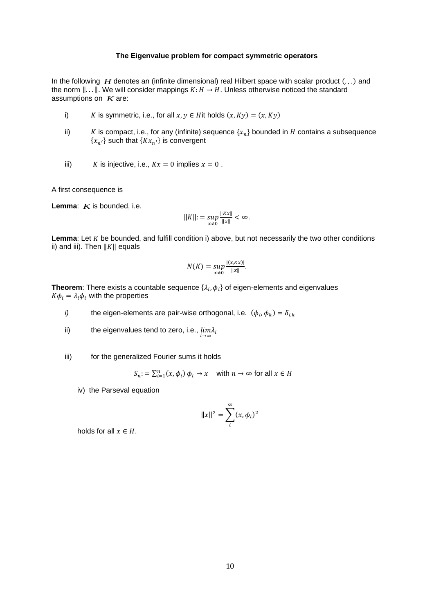#### **The Eigenvalue problem for compact symmetric operators**

In the following H denotes an (infinite dimensional) real Hilbert space with scalar product (.,.) and the norm  $\|\ldots\|$ . We will consider mappings  $K: H \to H$ . Unless otherwise noticed the standard assumptions on  $K$  are:

- i) *K* is symmetric, i.e., for all  $x, y \in H$  it holds  $(x, Ky) = (x, Ky)$
- ii) K is compact, i.e., for any (infinite) sequence  $\{x_n\}$  bounded in H contains a subsequence  $\{x_{n'}\}$  such that  $\{Kx_{n'}\}$  is convergent
- iii)  $K$  is injective, i.e.,  $Kx = 0$  implies  $x = 0$ .

A first consequence is

**Lemma**: *K* is bounded, i.e.

$$
||K|| := \sup_{x \neq 0} \frac{||Kx||}{||x||} < \infty.
$$

Lemma: Let *K* be bounded, and fulfill condition i) above, but not necessarily the two other conditions ii) and iii). Then  $||K||$  equals

$$
N(K) = \sup_{x \neq 0} \frac{|(x, Kx)|}{\|x\|}.
$$

**Theorem**: There exists a countable sequence  $\{\lambda_i, \phi_i\}$  of eigen-elements and eigenvalues  $K\phi_i = \lambda_i \phi_i$  with the properties

- *i*) the eigen-elements are pair-wise orthogonal, i.e.  $(\phi_i, \phi_k) = \delta_{i,k}$
- ii) the eigenvalues tend to zero, i.e.,  $\displaystyle{\lim_{i\to\infty}}\lambda_i$
- iii) for the generalized Fourier sums it holds

$$
S_n := \sum_{i=1}^n (x, \phi_i) \phi_i \to x \quad \text{with } n \to \infty \text{ for all } x \in H
$$

iv) the Parseval equation

$$
||x||^2 = \sum_i^{\infty} (x, \phi_i)^2
$$

holds for all  $x \in H$ .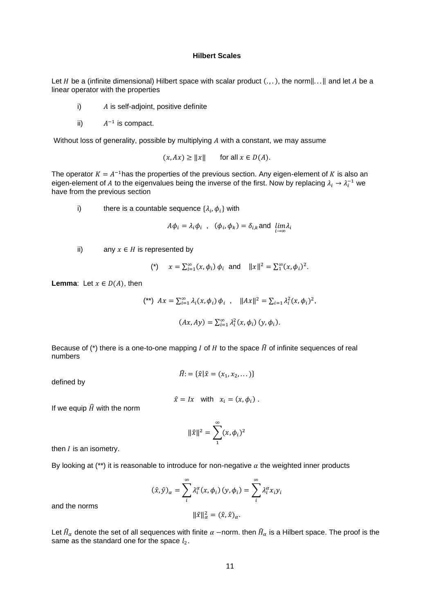#### **Hilbert Scales**

Let *H* be a (infinite dimensional) Hilbert space with scalar product  $(.,.)$ , the norm $\|...\|$  and let *A* be a linear operator with the properties

- $i)$   $A$  is self-adjoint, positive definite
- ii)  $^{-1}$  is compact.

Without loss of generality, possible by multiplying  $A$  with a constant, we may assume

 $(x, Ax) \ge ||x||$ for all  $x \in D(A)$ .

The operator  $K = A^{-1}$ has the properties of the previous section. Any eigen-element of K is also an eigen-element of A to the eigenvalues being the inverse of the first. Now by replacing  $\lambda_i \to \lambda_i^{-1}$  we have from the previous section

i) there is a countable sequence  $\{\lambda_i, \phi_i\}$  with

$$
A\phi_i = \lambda_i \phi_i \ \ , \ \ (\phi_i, \phi_k) = \delta_{i,k} \text{and } \lim_{i \to \infty} \lambda_i
$$

ii) any  $x \in H$  is represented by

(\*)  $x = \sum_{i=1}^{\infty} (x, \phi_i) \phi_i$  and  $||x||^2 = \sum_{i=1}^{\infty} (x, \phi_i)^2$ .

**Lemma**: Let  $x \in D(A)$ , then

$$
(*) \quad Ax = \sum_{i=1}^{\infty} \lambda_i(x, \phi_i) \phi_i \quad , \quad ||Ax||^2 = \sum_{i=1}^{\infty} \lambda_i^2(x, \phi_i)^2,
$$

$$
(Ax, Ay) = \sum_{i=1}^{\infty} \lambda_i^2(x, \phi_i) (y, \phi_i).
$$

Because of (\*) there is a one-to-one mapping *I* of *H* to the space  $\hat{H}$  of infinite sequences of real numbers

defined by

 $\hat{H}$ : = { $\hat{x}$ | $\hat{x}$  = ( $x_1, x_2, ...$ )}

$$
\hat{x} = Ix \quad \text{with} \quad x_i = (x, \phi_i) \; .
$$
 If we equip  $\hat{H}$  with the norm

$$
\|\hat x\|^2=\sum_1^\infty(x,\phi_i)^2
$$

then  $I$  is an isometry.

By looking at (\*\*) it is reasonable to introduce for non-negative  $\alpha$  the weighted inner products

$$
(\hat{x}, \hat{y})_{\alpha} = \sum_{i}^{\infty} \lambda_{i}^{\alpha}(x, \phi_{i}) (y, \phi_{i}) = \sum_{i}^{\infty} \lambda_{i}^{\alpha} x_{i} y_{i}
$$

$$
\|\hat{x}\|_{\alpha}^{2} = (\hat{x}, \hat{x})_{\alpha}.
$$

and the norms

Let  $\hat{H}_\alpha$  denote the set of all sequences with finite  $\alpha$  –norm. then  $\hat{H}_\alpha$  is a Hilbert space. The proof is the same as the standard one for the space  $l_2$ .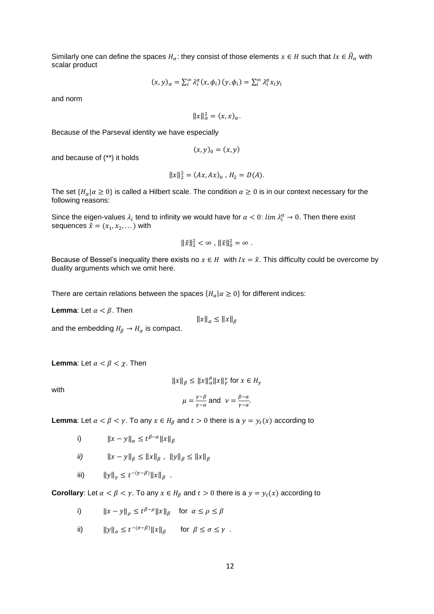Similarly one can define the spaces  $H_\alpha$ : they consist of those elements  $x \in H$  such that  $Ix \in \widehat{H}_\alpha$  with scalar product

$$
(x, y)_{\alpha} = \sum_{i}^{\infty} \lambda_i^{\alpha}(x, \phi_i) (y, \phi_i) = \sum_{i}^{\infty} \lambda_i^{\alpha} x_i y_i
$$

and norm

$$
||x||_{\alpha}^{2}=(x,x)_{\alpha}.
$$

Because of the Parseval identity we have especially

$$
(x,y)_0=(x,y)
$$

and because of (\*\*) it holds

$$
||x||_2^2 = (Ax, Ax)_0, H_2 = D(A).
$$

The set  $\{H_\alpha|\alpha\geq 0\}$  is called a Hilbert scale. The condition  $\alpha\geq 0$  is in our context necessary for the following reasons:

Since the eigen-values  $\lambda_i$  tend to infinity we would have for  $\alpha < 0$ :  $\lim \lambda_i^{\alpha} \to 0$ . Then there exist sequences  $\hat{x} = (x_1, x_2, ...)$  with

$$
\|\hat{x}\|_2^2 < \infty, \, \|\hat{x}\|_0^2 = \infty.
$$

Because of Bessel's inequality there exists no  $x \in H$  with  $Ix = \hat{x}$ . This difficulty could be overcome by duality arguments which we omit here.

There are certain relations between the spaces  $\{H_{\alpha}| \alpha \geq 0\}$  for different indices:

**Lemma:** Let  $\alpha < \beta$ . Then

$$
||x||_{\alpha} \leq ||x||_{\beta}
$$

and the embedding  $H_{\beta} \rightarrow H_{\alpha}$  is compact.

**Lemma:** Let  $\alpha < \beta < \chi$ . Then

with

$$
||x||_{\beta} \le ||x||_{\alpha}^{\mu} ||x||_{\gamma}^{\nu} \text{ for } x \in H_{\gamma}
$$

$$
\mu = \frac{\gamma - \beta}{\gamma - \alpha} \text{ and } \nu = \frac{\beta - \alpha}{\gamma - \alpha}.
$$

**Lemma**: Let  $\alpha < \beta < \gamma$ . To any  $x \in H_\beta$  and  $t > 0$  there is a  $y = y_t(x)$  according to

i)  $\|x - y\|_{\alpha} \leq t^{\beta - \alpha} \|x\|_{\beta}$ 

- *ii*)  $||x y||_{\beta} \le ||x||_{\beta}, ||y||_{\beta} \le ||x||_{\beta}$
- iii)  $\|y\|_{\gamma} \leq t^{-(\gamma \beta)} \|x\|_{\beta}$ .

**Corollary**: Let  $\alpha < \beta < \gamma$ . To any  $x \in H_\beta$  and  $t > 0$  there is a  $y = y_t(x)$  according to

i) 
$$
||x - y||_{\rho} \le t^{\beta - \rho} ||x||_{\beta} \text{ for } \alpha \le \rho \le \beta
$$

ii) 
$$
||y||_{\sigma} \leq t^{-(\sigma-\beta)} ||x||_{\beta} \quad \text{for } \beta \leq \sigma \leq \gamma.
$$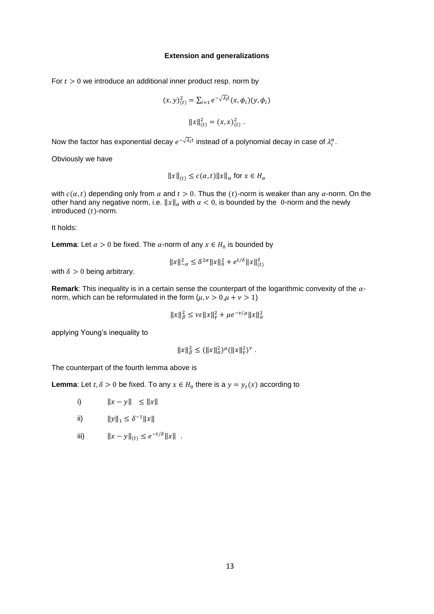## **Extension and generalizations**

For  $t > 0$  we introduce an additional inner product resp. norm by

$$
(x, y)(t)2 = \sum_{i=1} e^{-\sqrt{\lambda_i t}} (x, \phi_i)(y, \phi_i)
$$

$$
||x||_{(t)}^2 = (x, x)(t)2 .
$$

Now the factor has exponential decay  $e^{-\sqrt{\lambda_i}t}$  instead of a polynomial decay in case of  $\lambda_i^{\alpha}$ .

Obviously we have

$$
||x||_{(t)} \le c(\alpha, t) ||x||_{\alpha} \text{ for } x \in H_{\alpha}
$$

with  $c(\alpha, t)$  depending only from  $\alpha$  and  $t > 0$ . Thus the (t)-norm is weaker than any  $\alpha$ -norm. On the other hand any negative norm, i.e.  $||x||_{\alpha}$  with  $\alpha < 0$ , is bounded by the 0-norm and the newly introduced  $(t)$ -norm.

It holds:

**Lemma**: Let  $\alpha > 0$  be fixed. The  $\alpha$ -norm of any  $x \in H_0$  is bounded by

$$
||x||_{-\alpha}^2 \le \delta^{2\alpha} ||x||_0^2 + e^{t/\delta} ||x||_{(t)}^2
$$

with  $\delta > 0$  being arbitrary.

**Remark:** This inequality is in a certain sense the counterpart of the logarithmic convexity of the  $\alpha$ norm, which can be reformulated in the form  $(\mu, \nu > 0, \mu + \nu > 1)$ 

$$
||x||_{\beta}^{2} \leq v\varepsilon ||x||_{\gamma}^{2} + \mu e^{-v/\mu} ||x||_{\alpha}^{2}
$$

applying Young's inequality to

$$
||x||_{\beta}^{2} \leq (||x||_{\alpha}^{2})^{\mu} (||x||_{\gamma}^{2})^{\nu} .
$$

The counterpart of the fourth lemma above is

**Lemma**: Let  $t, \delta > 0$  be fixed. To any  $x \in H_0$  there is a  $y = y_t(x)$  according to

i) 
$$
||x - y|| \le ||x||
$$

ii) 
$$
||y||_1 \le \delta^{-1}||x||
$$

iii) 
$$
||x - y||_{(t)} \le e^{-t/\delta} ||x||.
$$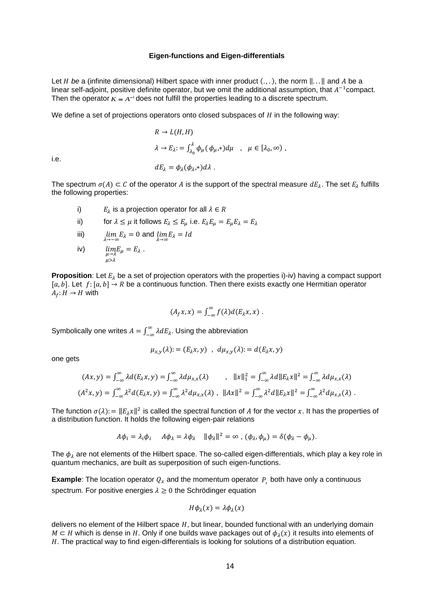#### **Eigen-functions and Eigen-differentials**

Let *H* be a (infinite dimensional) Hilbert space with inner product (...), the norm  $\|\dots\|$  and A be a linear self-adjoint, positive definite operator, but we omit the additional assumption, that  $A^{-1}$ compact. Then the operator  $K = A^{-1}$  does not fulfill the properties leading to a discrete spectrum.

We define a set of projections operators onto closed subspaces of  $H$  in the following way:

$$
R \to L(H, H)
$$
  
\n
$$
\lambda \to E_{\lambda} := \int_{\lambda_0}^{\lambda} \phi_{\mu}(\phi_{\mu},*) d\mu \quad , \quad \mu \in [\lambda_0, \infty),
$$
  
\n
$$
dE_{\lambda} = \phi_{\lambda}(\phi_{\lambda},*) d\lambda \quad .
$$

i.e.

The spectrum  $\sigma(A) \subset C$  of the operator A is the support of the spectral measure  $dE_\lambda$ . The set  $E_\lambda$  fulfills the following properties:

i) 
$$
E_{\lambda}
$$
 is a projection operator for all  $\lambda \in R$ 

ii) for  $\lambda \le \mu$  it follows  $E_{\lambda} \le E_{\mu}$  i.e.  $E_{\lambda}E_{\mu} = E_{\mu}E_{\lambda} = E_{\lambda}$ 

iii) 
$$
\lim_{\lambda \to -\infty} E_{\lambda} = 0 \text{ and } \lim_{\lambda \to \infty} E_{\lambda} = Id
$$

.

iv) 
$$
\lim_{\substack{\mu \to \lambda \\ \mu > \lambda}} E_{\mu} = E_{\lambda}
$$

**Proposition**: Let  $E_{\lambda}$  be a set of projection operators with the properties i)-iv) having a compact support [a, b]. Let  $f: [a, b] \rightarrow R$  be a continuous function. Then there exists exactly one Hermitian operator  $A_f$ :  $H \rightarrow H$  with

$$
(A_f x, x) = \int_{-\infty}^{\infty} f(\lambda) d(E_{\lambda} x, x) .
$$

Symbolically one writes  $A = \int_{-\infty}^{\infty} \lambda dE_{\lambda}$  $\int_{-\infty}^{\infty} \lambda dE_{\lambda}$ . Using the abbreviation

$$
\mu_{x,y}(\lambda) := (E_{\lambda} x, y) , d\mu_{x,y}(\lambda) = d(E_{\lambda} x, y)
$$

one gets

$$
(Ax, y) = \int_{-\infty}^{\infty} \lambda d(E_{\lambda}x, y) = \int_{-\infty}^{\infty} \lambda d\mu_{x,x}(\lambda) \qquad , \quad ||x||_{1}^{2} = \int_{-\infty}^{\infty} \lambda d||E_{\lambda}x||^{2} = \int_{-\infty}^{\infty} \lambda d\mu_{x,x}(\lambda)
$$

$$
(A^{2}x, y) = \int_{-\infty}^{\infty} \lambda^{2} d(E_{\lambda}x, y) = \int_{-\infty}^{\infty} \lambda^{2} d\mu_{x,x}(\lambda) \qquad , \quad ||Ax||^{2} = \int_{-\infty}^{\infty} \lambda^{2} d||E_{\lambda}x||^{2} = \int_{-\infty}^{\infty} \lambda^{2} d\mu_{x,x}(\lambda) \qquad .
$$

The function  $\sigma(\lambda) := ||E_{\lambda}x||^2$  is called the spectral function of A for the vector x. It has the properties of a distribution function. It holds the following eigen-pair relations

$$
A\phi_i = \lambda_i \phi_i \quad A\phi_\lambda = \lambda \phi_\lambda \quad ||\phi_\lambda||^2 = \infty , (\phi_\lambda, \phi_\mu) = \delta(\phi_\lambda - \phi_\mu).
$$

The  $\phi_{\lambda}$  are not elements of the Hilbert space. The so-called eigen-differentials, which play a key role in quantum mechanics, are built as superposition of such eigen-functions.

**Example**: The location operator  $Q_x$  and the momentum operator  $P_x$  both have only a continuous spectrum. For positive energies  $\lambda \geq 0$  the Schrödinger equation

$$
H\phi_\lambda(x)=\lambda\phi_\lambda(x)
$$

delivers no element of the Hilbert space  $H$ , but linear, bounded functional with an underlying domain  $M \subset H$  which is dense in H. Only if one builds wave packages out of  $\phi_{\lambda}(x)$  it results into elements of . The practical way to find eigen-differentials is looking for solutions of a distribution equation.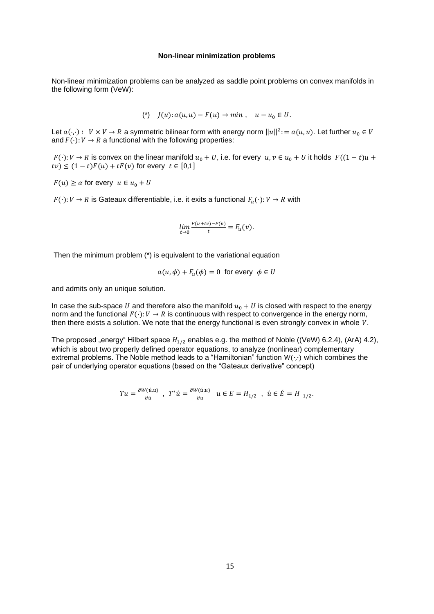#### **Non-linear minimization problems**

Non-linear minimization problems can be analyzed as saddle point problems on convex manifolds in the following form (VeW):

$$
(*) \t J(u): a(u, u) - F(u) → min , u - u0 ∈ U.
$$

Let  $a(\cdot,\cdot): V \times V \to R$  a symmetric bilinear form with energy norm  $||u||^2$ : =  $a(u,u)$ . Let further  $u_0 \in V$ and  $F(\cdot): V \to R$  a functional with the following properties:

 $F(\cdot): V \to R$  is convex on the linear manifold  $u_0 + U$ , i.e. for every  $u, v \in u_0 + U$  it holds  $F((1-t)u +$  $tv$ )  $\leq$   $(1-t)F(u) + tF(v)$  for every  $t \in [0,1]$ 

 $F(u) \ge \alpha$  for every  $u \in u_0 + U$ 

 $F(\cdot): V \to R$  is Gateaux differentiable, i.e. it exits a functional  $F_u(\cdot): V \to R$  with

$$
\lim_{t\to 0}\frac{F(u+tv)-F(v)}{t}=F_u(v).
$$

Then the minimum problem (\*) is equivalent to the variational equation

$$
a(u, \phi) + F_u(\phi) = 0 \text{ for every } \phi \in U
$$

and admits only an unique solution.

In case the sub-space U and therefore also the manifold  $u_0 + U$  is closed with respect to the energy norm and the functional  $F(\cdot): V \to R$  is continuous with respect to convergence in the energy norm, then there exists a solution. We note that the energy functional is even strongly convex in whole  $V$ .

The proposed "energy" Hilbert space  $H_{1/2}$  enables e.g. the method of Noble ((VeW) 6.2.4), (ArA) 4.2), which is about two properly defined operator equations, to analyze (nonlinear) complementary extremal problems. The Noble method leads to a "Hamiltonian" function W(∙,∙) which combines the pair of underlying operator equations (based on the "Gateaux derivative" concept)

$$
Tu = \frac{\partial W(\dot{u}, u)}{\partial \dot{u}} \ , \ T^*\dot{u} = \frac{\partial W(\dot{u}, u)}{\partial u} \quad u \in E = H_{1/2} \ , \ \dot{u} \in \dot{E} = H_{-1/2}.
$$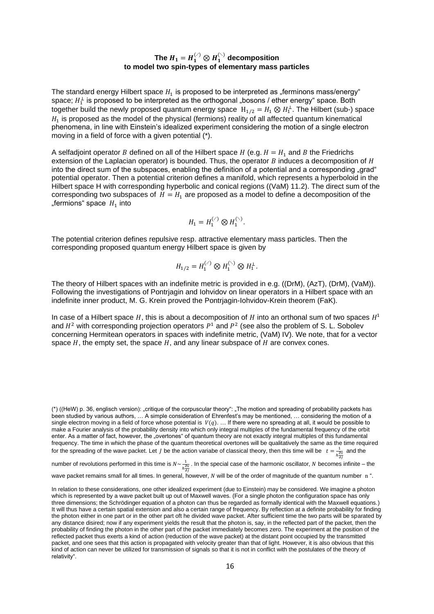# The  $H_1 = H_1^{(\cdot)} \otimes H_1^{(\cdot)}$  decomposition **to model two spin-types of elementary mass particles**

The standard energy Hilbert space  $H_{\rm 1}$  is proposed to be interpreted as "ferminons mass/energy" space;  $H_1^\perp$  is proposed to be interpreted as the orthogonal "bosons / ether energy" space. Both together build the newly proposed quantum energy space  $H_{1/2} = H_1 \otimes H_1^{\perp}$ . The Hilbert (sub-) space  $H_1$  is proposed as the model of the physical (fermions) reality of all affected quantum kinematical phenomena, in line with Einstein's idealized experiment considering the motion of a single electron moving in a field of force with a given potential (\*).

A selfadjoint operator B defined on all of the Hilbert space  $H$  (e.g.  $H = H_1$  and B the Friedrichs extension of the Laplacian operator) is bounded. Thus, the operator  $B$  induces a decomposition of  $H$ into the direct sum of the subspaces, enabling the definition of a potential and a corresponding "grad" potential operator. Then a potential criterion defines a manifold, which represents a hyperboloid in the Hilbert space H with corresponding hyperbolic and conical regions ((VaM) 11.2). The direct sum of the corresponding two subspaces of  $H = H_1$  are proposed as a model to define a decomposition of the "fermions" space  $\ H_{1}$  into

$$
H_1 = H_1^{(\cdot)} \otimes H_1^{(\cdot)}.
$$

The potential criterion defines repulsive resp. attractive elementary mass particles. Then the corresponding proposed quantum energy Hilbert space is given by

$$
H_{1/2} = H_1^{(\cdot)} \otimes H_1^{(\cdot)} \otimes H_1^{\perp}.
$$

The theory of Hilbert spaces with an indefinite metric is provided in e.g. ((DrM), (AzT), (DrM), (VaM)). Following the investigations of Pontrjagin and Iohvidov on linear operators in a Hilbert space with an indefinite inner product, M. G. Krein proved the Pontrjagin-Iohvidov-Krein theorem (FaK).

In case of a Hilbert space H, this is about a decomposition of H into an orthonal sum of two spaces  $H^1$ and  $H^2$  with corresponding projection operators  $P^1$  and  $P^2$  (see also the problem of S. L. Sobolev concerning Hermitean operators in spaces with indefinite metric, (VaM) IV). We note, that for a vector space  $H$ , the empty set, the space  $H$ , and any [linear subspace](https://en.m.wikipedia.org/wiki/Linear_subspace) of  $H$  are convex cones.

number of revolutions performed in this time is  $N \sim \frac{1}{. \partial v}$  . In the special case of the harmonic oscillator, N becomes  $\frac{1}{h\frac{\partial v}{\partial j}}$ . In the special case of the harmonic oscillator, N becomes infinite – the

wave packet remains small for all times. In general, however,  $N$  will be of the order of magnitude of the quantum number  $n$ ".

<sup>(\*) ((</sup>HeW) p. 36, englisch version): "critique of the corpuscular theory": "The motion and spreading of probability packets has been studied by various authors, … A simple consideration of Ehrenfest's may be mentioned, … considering the motion of a single electron moving in a field of force whose potential is  $V(q)$ .... If there were no spreading at all, it would be possible to make a Fourier analysis of the probability density into which only integral multiples of the fundamental frequency of the orbit enter. As a matter of fact, however, the "overtones" of quantum theory are not exactly integral multiples of this fundamental frequency. The time in which the phase of the quantum theoretical overtones will be qualitatively the same as the time required for the spreading of the wave packet. Let *J* be the action variabe of classical theory, then this time will be  $t = \frac{1}{\epsilon}$  $rac{1}{h \frac{\partial v}{\partial t}}$  and the

In relation to these considerations, one other idealized experiment (due to Einstein) may be considered. We imagine a photon which is represented by a wave packet built up out of Maxwell waves. (For a single photon the configuration space has only three dimensions; the Schrödinger equation of a photon can thus be regarded as formally identical with the Maxwell equations.) It will thus have a certain spatial extension and also a certain range of frequency. By reflection at a definite probability for finding the photon either in one part or in the other part oft he divided wave packet. After sufficient time the two parts will be sparated by any distance disired; now if any experiment yields the result that the photon is, say, in the reflected part of the packet, then the probability of finding the photon in the other part of the packet immediately becomes zero. The experiment at the position of the reflected packet thus exerts a kind of action (reduction of the wave packet) at the distant point occupied by the transmitted packet, and one sees that this action is propagated with velocity greater than that of light. However, it is also obvious that this kind of action can never be utilized for transmission of signals so that it is not in conflict with the postulates of the theory of relativity".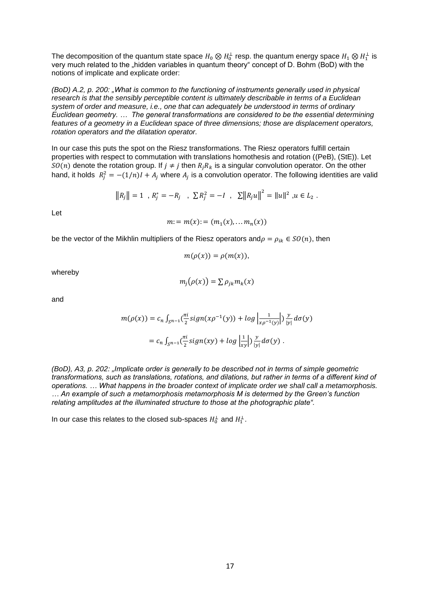The decomposition of the quantum state space  $H_0\otimes H_0^\perp$  resp. the quantum energy space  $H_1\otimes H_1^\perp$  is very much related to the "hidden variables in quantum theory" concept of D. Bohm (BoD) with the notions of implicate and explicate order:

*(BoD) A.2, p. 200: "What is common to the functioning of instruments generally used in physical research is that the sensibly perceptible content is ultimately describable in terms of a Euclidean system of order and measure, i.e., one that can adequately be understood in terms of ordinary Euclidean geometry. … The general transformations are considered to be the essential determining features of a geometry in a Euclidean space of three dimensions; those are displacement operators, rotation operators and the dilatation operator.*

In our case this puts the spot on the Riesz transformations. The Riesz operators fulfill certain properties with respect to commutation with translations homothesis and rotation ((PeB), (StE)). Let  $SO(n)$  denote the rotation group. If  $j \neq j$  then  $R_j R_k$  is a singular convolution operator. On the other hand, it holds  $R_j^2 = -(1/n)I + A_j$  where  $A_j$  is a convolution operator. The following identities are valid

$$
||R_j|| = 1
$$
,  $R_j^* = -R_j$ ,  $\sum R_j^2 = -I$ ,  $\sum ||R_j u||^2 = ||u||^2$ ,  $u \in L_2$ .

Let

$$
m:=m(x):=(m_1(x),\ldots m_n(x))
$$

be the vector of the Mikhlin multipliers of the Riesz operators and  $\rho = \rho_{ik} \in SO(n)$ , then

$$
m(\rho(x)) = \rho(m(x)),
$$

whereby

$$
m_j(\rho(x)) = \sum \rho_{jk} m_k(x)
$$

and

$$
m(\rho(x)) = c_n \int_{S^{n-1}} (\frac{\pi i}{2} sign(x\rho^{-1}(y)) + \log |\frac{1}{x\rho^{-1}(y)}|) \frac{y}{|y|} d\sigma(y)
$$
  
=  $c_n \int_{S^{n-1}} (\frac{\pi i}{2} sign(xy) + \log |\frac{1}{xy}|) \frac{y}{|y|} d\sigma(y)$ .

*(BoD), A3, p. 202: "Implicate order is generally to be described not in terms of simple geometric transformations, such as translations, rotations, and dilations, but rather in terms of a different kind of operations. … What happens in the broader context of implicate order we shall call a metamorphosis. … An example of such a metamorphosis metamorphosis M is determed by the Green's function relating amplitudes at the illuminated structure to those at the photographic plate".*

In our case this relates to the closed sub-spaces  $H_0^{\perp}$  and  $H_1^{\perp}$ .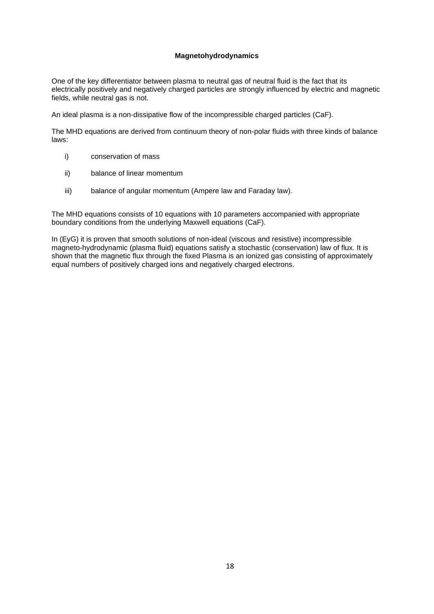# **Magnetohydrodynamics**

One of the key differentiator between plasma to neutral gas of neutral fluid is the fact that its electrically positively and negatively charged particles are strongly influenced by electric and magnetic fields, while neutral gas is not.

An ideal plasma is a non-dissipative flow of the incompressible charged particles (CaF).

The MHD equations are derived from continuum theory of non-polar fluids with three kinds of balance laws:

- i) conservation of mass
- ii) balance of linear momentum
- iii) balance of angular momentum (Ampere law and Faraday law).

The MHD equations consists of 10 equations with 10 parameters accompanied with appropriate boundary conditions from the underlying Maxwell equations (CaF).

In (EyG) it is proven that smooth solutions of non-ideal (viscous and resistive) incompressible magneto-hydrodynamic (plasma fluid) equations satisfy a stochastic (conservation) law of flux. It is shown that the magnetic flux through the fixed Plasma is an ionized gas consisting of approximately equal numbers of positively charged ions and negatively charged electrons.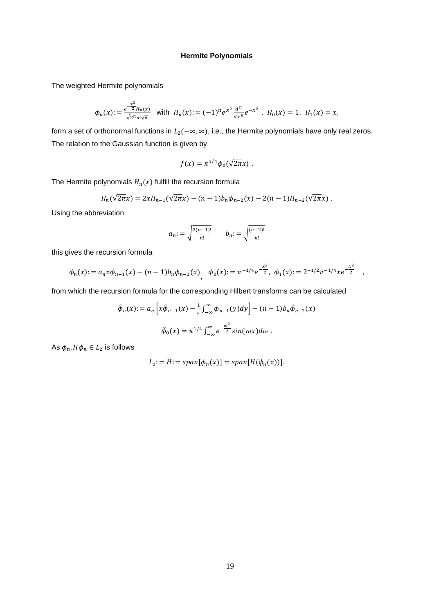# **Hermite Polynomials**

The weighted Hermite polynomials

$$
\phi_n(x) := \frac{e^{-\frac{x^2}{2}H_n(x)}}{\sqrt{2^n n! \sqrt{\pi}}} \quad \text{with} \quad H_n(x) := (-1)^n e^{-x^2} \frac{d^n}{dx^n} e^{-x^2}, \quad H_0(x) = 1, \quad H_1(x) = x,
$$

form a set of orthonormal functions in  $L_2(-\infty,\infty)$ , i.e., the Hermite polynomials have only real zeros. The relation to the Gaussian function is given by

$$
f(x)=\pi^{1/4}\phi_0(\sqrt{2\pi}x)\ .
$$

The Hermite polynomials  $H_n(x)$  fulfill the recursion formula

$$
H_n(\sqrt{2\pi}x) = 2xH_{n-1}(\sqrt{2\pi}x) - (n-1)b_n\phi_{n-2}(x) - 2(n-1)H_{n-2}(\sqrt{2\pi}x).
$$

Using the abbreviation

$$
a_n:=\sqrt{\frac{2(n-1)!}{n!}} \qquad b_n:=\sqrt{\frac{(n-2)!}{n!}}
$$

this gives the recursion formula

$$
\phi_n(x) := a_n x \phi_{n-1}(x) - (n-1) b_n \phi_{n-2}(x), \quad \phi_0(x) := \pi^{-1/4} e^{-\frac{x^2}{2}}, \quad \phi_1(x) := 2^{-1/2} \pi^{-1/4} x e^{-\frac{x^2}{2}},
$$

from which the recursion formula for the corresponding Hilbert transforms can be calculated

$$
\hat{\phi}_n(x) := a_n \left[ x \hat{\phi}_{n-1}(x) - \frac{1}{\pi} \int_{-\infty}^{\infty} \phi_{n-1}(y) dy \right] - (n-1) b_n \hat{\phi}_{n-2}(x)
$$

$$
\hat{\phi}_0(x) = \pi^{1/4} \int_{-\infty}^{\infty} e^{-\frac{\omega^2}{2}} \sin(\omega x) d\omega.
$$

As  $\phi_n$ ,  $H\phi_n \in L_2$  is follows

$$
L_2:=H:=span[\phi_n(x)]=span[H(\phi_n(x))].
$$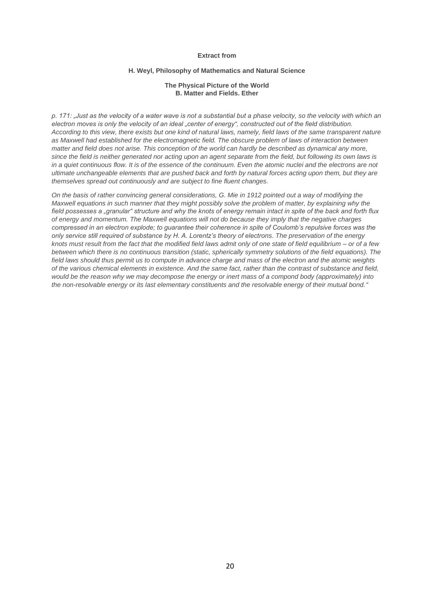#### **Extract from**

## **H. Weyl, Philosophy of Mathematics and Natural Science**

#### **The Physical Picture of the World B. Matter and Fields. Ether**

*p. 171: "Just as the velocity of a water wave is not a substantial but a phase velocity, so the velocity with which an electron moves is only the velocity of an ideal "center of energy", constructed out of the field distribution. According to this view, there exists but one kind of natural laws, namely, field laws of the same transparent nature as Maxwell had established for the electromagnetic field. The obscure problem of laws of interaction between matter and field does not arise. This conception of the world can hardly be described as dynamical any more, since the field is neither generated nor acting upon an agent separate from the field, but following its own laws is in a quiet continuous flow. It is of the essence of the continuum. Even the atomic nuclei and the electrons are not ultimate unchangeable elements that are pushed back and forth by natural forces acting upon them, but they are themselves spread out continuously and are subject to fine fluent changes.*

*On the basis of rather convincing general considerations, G. Mie in 1912 pointed out a way of modifying the Maxwell equations in such manner that they might possibly solve the problem of matter, by explaining why the field possesses a "granular" structure and why the knots of energy remain intact in spite of the back and forth flux of energy and momentum. The Maxwell equations will not do because they imply that the negative charges compressed in an electron explode; to guarantee their coherence in spite of Coulomb's repulsive forces was the only service still required of substance by H. A. Lorentz's theory of electrons. The preservation of the energy knots must result from the fact that the modified field laws admit only of one state of field equilibrium – or of a few between which there is no continuous transition (static, spherically symmetry solutions of the field equations). The field laws should thus permit us to compute in advance charge and mass of the electron and the atomic weights of the various chemical elements in existence. And the same fact, rather than the contrast of substance and field, would be the reason why we may decompose the energy or inert mass of a compond body (approximately) into the non-resolvable energy or its last elementary constituents and the resolvable energy of their mutual bond."*